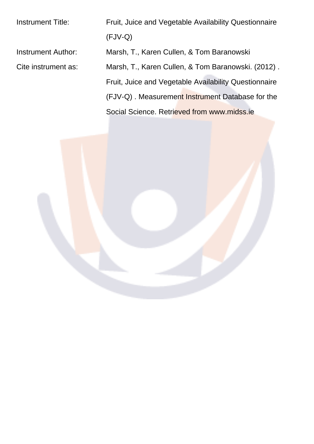Instrument Title: Fruit, Juice and Vegetable Availability Questionnaire (FJV-Q) Instrument Author: Marsh, T., Karen Cullen, & Tom Baranowski Cite instrument as: Marsh, T., Karen Cullen, & Tom Baranowski. (2012) . Fruit, Juice and Vegetable Availability Questionnaire (FJV-Q). Measurement Instrument Database for the Social Science. Retrieved from www.midss.ie

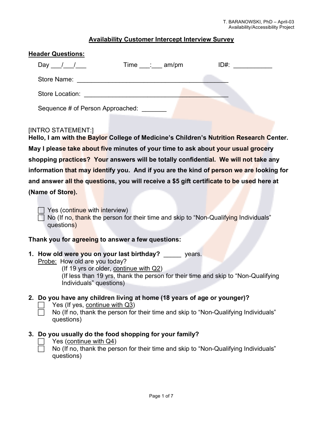# **Availability Customer Intercept Interview Survey**

| <b>Header Questions:</b>                                                                                      |
|---------------------------------------------------------------------------------------------------------------|
| Day $\frac{1}{\sqrt{2}}$<br>Time : am/pm<br>$ID#$ :                                                           |
| Store Name:                                                                                                   |
| Store Location: The Store Location:                                                                           |
| Sequence # of Person Approached:                                                                              |
| [INTRO STATEMENT:]<br>Hello, I am with the Baylor College of Medicine's Children's Nutrition Research Center. |
| May I please take about five minutes of your time to ask about your usual grocery                             |
| shopping practices? Your answers will be totally confidential. We will not take any                           |
| information that may identify you. And if you are the kind of person we are looking for                       |
| and answer all the questions, you will receive a \$5 gift certificate to be used here at                      |
| (Name of Store).                                                                                              |

Yes (continue with interview) No (If no, thank the person for their time and skip to "Non-Qualifying Individuals" questions)

#### **Thank you for agreeing to answer a few questions:**

**1. How old were you on your last birthday?** \_\_\_\_\_ years.

Probe: How old are you today?

(If 19 yrs or older, continue with Q2) (If less than 19 yrs, thank the person for their time and skip to "Non-Qualifying Individuals" questions)

# **2. Do you have any children living at home (18 years of age or younger)?**

- Yes (If yes, continue with Q3)
- No (If no, thank the person for their time and skip to "Non-Qualifying Individuals" questions)

# **3. Do you usually do the food shopping for your family?**

# Yes (continue with Q4)

 No (If no, thank the person for their time and skip to "Non-Qualifying Individuals" questions)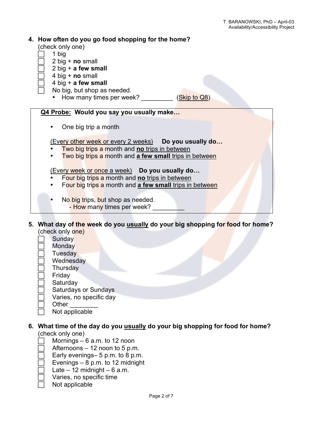## **4. How often do you go food shopping for the home?**

(check only one)

- 1 big
- 2 big + **no** small
- 2 big + **a few small**
- 4 big + **no** small
- 4 big + **a few small**
- No big, but shop as needed.
	- How many times per week? (Skip to Q8)

**Q4 Probe: Would you say you usually make…**

• One big trip a month

(Every other week or every 2 weeks) **Do you usually do…**

- Two big trips a month and **no** trips in between
- Two big trips a month and **a few small** trips in between

(Every week or once a week) **Do you usually do…**

- Four big trips a month and **no** trips in between
- Four big trips a month and **a few small** trips in between
- No big trips, but shop as needed.
	- How many times per week?
- **5. What day of the week do you usually do your big shopping for food for home?** (check only one)
	- **Sunday**
	- **Monday**
	- **Tuesday**
	- **Wednesday**
	- **Thursday**
	- Friday
	- **Saturday**
	- Saturdays or Sundays
	- Varies, no specific day
	- Other \_\_\_\_\_\_\_\_
	- Not applicable

#### **6. What time of the day do you usually do your big shopping for food for home?** (check only one)

- Mornings 6 a.m. to 12 noon
- Afternoons 12 noon to 5 p.m.
- Early evenings– 5 p.m. to 8 p.m.
- Evenings 8 p.m. to 12 midnight
- Late  $-12$  midnight  $-6$  a.m.
- Varies, no specific time
- Not applicable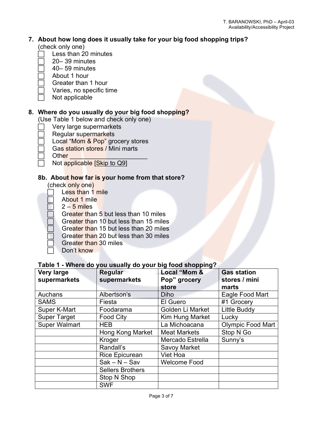#### **7. About how long does it usually take for your big food shopping trips?** (check only one)

- Less than 20 minutes
- 20– 39 minutes
- 40– 59 minutes
- About 1 hour
- Greater than 1 hour
- Varies, no specific time
- Not applicable

# **8. Where do you usually do your big food shopping?**

(Use Table 1 below and check only one)

- Very large supermarkets
- Regular supermarkets
- Local "Mom & Pop" grocery stores
	- Gas station stores / Mini marts
- Other \_\_\_\_\_\_\_\_\_\_\_\_\_\_\_\_\_\_\_\_\_\_
	- Not applicable [Skip to Q9]

# **8b. About how far is your home from that store?**

(check only one)

- Less than 1 mile
- About 1 mile
- $2 5$  miles
- Greater than 5 but less than 10 miles
- Greater than 10 but less than 15 miles
- Greater than 15 but less than 20 miles
- Greater than 20 but less than 30 miles
- Greater than 30 miles
- Don't know

# **Table 1 - Where do you usually do your big food shopping?**

| <b>Very large</b>    | Regular                 | Local "Mom &        | <b>Gas station</b>       |
|----------------------|-------------------------|---------------------|--------------------------|
| supermarkets         | supermarkets            | Pop" grocery        | stores / mini            |
|                      |                         | store               | marts                    |
| Auchans              | Albertson's             | <b>Diho</b>         | Eagle Food Mart          |
| <b>SAMS</b>          | Fiesta                  | El Guero            | #1 Grocery               |
| Super K-Mart         | Foodarama               | Golden Li Market    | Little Buddy             |
| <b>Super Target</b>  | <b>Food City</b>        | Kim Hung Market     | Lucky                    |
| <b>Super Walmart</b> | <b>HEB</b>              | La Michoacana       | <b>Olympic Food Mart</b> |
|                      | Hong Kong Market        | <b>Meat Markets</b> | Stop N Go                |
|                      | Kroger                  | Mercado Estrella    | Sunny's                  |
|                      | Randall's               | Savoy Market        |                          |
|                      | <b>Rice Epicurean</b>   | Viet Hoa            |                          |
|                      | $Sak - N - Sav$         | <b>Welcome Food</b> |                          |
|                      | <b>Sellers Brothers</b> |                     |                          |
|                      | Stop N Shop             |                     |                          |
|                      | <b>SWF</b>              |                     |                          |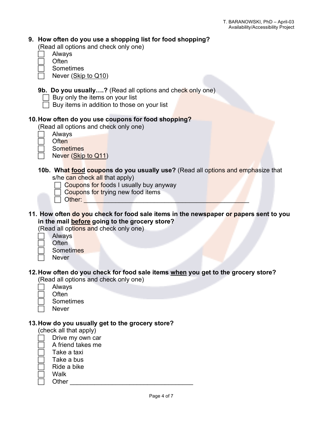# **9. How often do you use a shopping list for food shopping?**

(Read all options and check only one)

- Always
- **Often**
- **Sometimes**
- Never (Skip to Q10)
- **9b. Do you usually….?** (Read all options and check only one)
	- $\Box$  Buy only the items on your list
	- $\Box$  Buy items in addition to those on your list

## **10.How often do you use coupons for food shopping?**

(Read all options and check only one)

- Always
- **Often**
- **Sometimes**
- Never (Skip to Q11)
- **10b. What food coupons do you usually use?** (Read all options and emphasize that s/he can check all that apply)
	- $\Box$  Coupons for foods I usually buy anyway
		- Coupons for trying new food items
	- $\Box$  Other:
- **11. How often do you check for food sale items in the newspaper or papers sent to you in the mail before going to the grocery store?**

(Read all options and check only one)

- Always
- Often
	- **Sometimes**
- **Never**

# **12.How often do you check for food sale items when you get to the grocery store?**

(Read all options and check only one)

- Always **Often**
- - **Sometimes**
- Never

#### **13.How do you usually get to the grocery store?**

(check all that apply)

- Drive my own car
- A friend takes me
- Take a taxi
- Take a bus
- Ride a bike
- Walk
- Other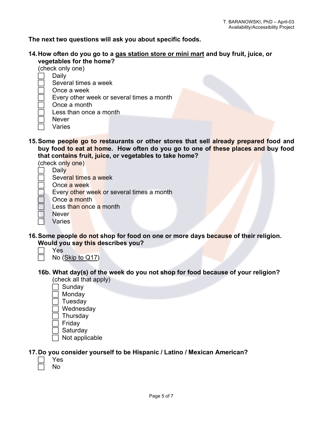**The next two questions will ask you about specific foods.**

- **14.How often do you go to a gas station store or mini mart and buy fruit, juice, or vegetables for the home?**
	- (check only one)
	- Daily
	- Several times a week
	- Once a week
	- Every other week or several times a month
	- Once a month
	- Less than once a month
	- **Never**
	- Varies
- **15.Some people go to restaurants or other stores that sell already prepared food and buy food to eat at home. How often do you go to one of these places and buy food that contains fruit, juice, or vegetables to take home?**
	- (check only one)
	- **Daily** 
		- Several times a week
	- Once a week
	- Every other week or several times a month
	- Once a month
	- Less than once a month
	- **Never**
	- Varies
- **16.Some people do not shop for food on one or more days because of their religion. Would you say this describes you?**
	- Yes
		- No (Skip to Q17)
	- **16b. What day(s) of the week do you not shop for food because of your religion?**
		- (check all that apply)
		- Sunday
		- **Monday**
		- Tuesday
		- Wednesday **Thursday**
		- Friday
		-
		- Saturday
		- Not applicable

# **17.Do you consider yourself to be Hispanic / Latino / Mexican American?**

 Yes No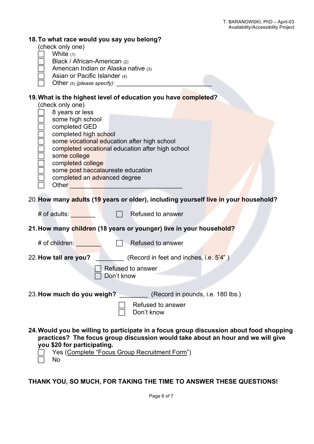| 18. To what race would you say you belong?<br>(check only one)<br>White $(1)$<br>Black / African-American (2)<br>American Indian or Alaska native (3)<br>Asian or Pacific Islander (4)<br>Other $(5)$ (please specify):                                                                                                                                                                                                                                                                                                                                                                                                 |
|-------------------------------------------------------------------------------------------------------------------------------------------------------------------------------------------------------------------------------------------------------------------------------------------------------------------------------------------------------------------------------------------------------------------------------------------------------------------------------------------------------------------------------------------------------------------------------------------------------------------------|
| 19. What is the highest level of education you have completed?<br>(check only one)<br>8 years or less<br>some high school<br>completed GED<br>completed high school<br>some vocational education after high school<br>completed vocational education after high school<br>some college<br>completed college<br>some post baccalaureate education<br>completed an advanced degree<br>Other <b>Communication</b> Change and Change and Change and Change and Change and Change and Change and Change and Change and Change and Change and Change and Change and Change and Change and Change and Change and Change and Ch |
| 20. How many adults (19 years or older), including yourself live in your household?                                                                                                                                                                                                                                                                                                                                                                                                                                                                                                                                     |
| # of adults: The state of a<br>Refused to answer                                                                                                                                                                                                                                                                                                                                                                                                                                                                                                                                                                        |
| 21. How many children (18 years or younger) live in your household?                                                                                                                                                                                                                                                                                                                                                                                                                                                                                                                                                     |
| # of children:<br>Refused to answer                                                                                                                                                                                                                                                                                                                                                                                                                                                                                                                                                                                     |
| (Record in feet and inches, i.e. 5'4")<br>22. How tall are you?<br>Refused to answer<br>Don't know                                                                                                                                                                                                                                                                                                                                                                                                                                                                                                                      |
| 23. How much do you weigh? (Record in pounds, i.e. 180 lbs.)<br>Refused to answer<br>Don't know                                                                                                                                                                                                                                                                                                                                                                                                                                                                                                                         |
| 24. Would you be willing to participate in a focus group discussion about food shopping<br>practices? The focus group discussion would take about an hour and we will give<br>you \$20 for participating.<br>Yes (Complete "Focus Group Recruitment Form")                                                                                                                                                                                                                                                                                                                                                              |

No

**THANK YOU, SO MUCH, FOR TAKING THE TIME TO ANSWER THESE QUESTIONS!**